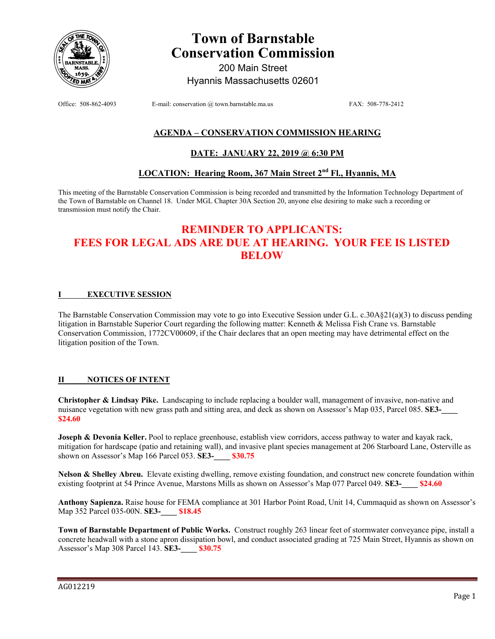

# **Town of Barnstable Conservation Commission**

200 Main Street Hyannis Massachusetts 02601

Office: 508-862-4093 E-mail: conservation @ town.barnstable.ma.us FAX: 508-778-2412

## **AGENDA – CONSERVATION COMMISSION HEARING**

### **DATE: JANUARY 22, 2019 @ 6:30 PM**

# **LOCATION: Hearing Room, 367 Main Street 2nd Fl., Hyannis, MA**

This meeting of the Barnstable Conservation Commission is being recorded and transmitted by the Information Technology Department of the Town of Barnstable on Channel 18. Under MGL Chapter 30A Section 20, anyone else desiring to make such a recording or transmission must notify the Chair.

# **REMINDER TO APPLICANTS: FEES FOR LEGAL ADS ARE DUE AT HEARING. YOUR FEE IS LISTED BELOW**

#### **I EXECUTIVE SESSION**

The Barnstable Conservation Commission may vote to go into Executive Session under G.L. c.30A§21(a)(3) to discuss pending litigation in Barnstable Superior Court regarding the following matter: Kenneth & Melissa Fish Crane vs. Barnstable Conservation Commission, 1772CV00609, if the Chair declares that an open meeting may have detrimental effect on the litigation position of the Town.

#### **II NOTICES OF INTENT**

**Christopher & Lindsay Pike.** Landscaping to include replacing a boulder wall, management of invasive, non-native and nuisance vegetation with new grass path and sitting area, and deck as shown on Assessor's Map 035, Parcel 085. **SE3-\$24.60** 

**Joseph & Devonia Keller.** Pool to replace greenhouse, establish view corridors, access pathway to water and kayak rack, mitigation for hardscape (patio and retaining wall), and invasive plant species management at 206 Starboard Lane, Osterville as shown on Assessor's Map 166 Parcel 053. **SE3-\_\_\_\_ \$30.75** 

**Nelson & Shelley Abreu.** Elevate existing dwelling, remove existing foundation, and construct new concrete foundation within existing footprint at 54 Prince Avenue, Marstons Mills as shown on Assessor's Map 077 Parcel 049. **SE3-\_\_\_\_ \$24.60**

**Anthony Sapienza.** Raise house for FEMA compliance at 301 Harbor Point Road, Unit 14, Cummaquid as shown on Assessor's Map 352 Parcel 035-00N. **SE3-\_\_\_\_ \$18.45**

**Town of Barnstable Department of Public Works.** Construct roughly 263 linear feet of stormwater conveyance pipe, install a concrete headwall with a stone apron dissipation bowl, and conduct associated grading at 725 Main Street, Hyannis as shown on Assessor's Map 308 Parcel 143. **SE3-\_\_\_\_ \$30.75**